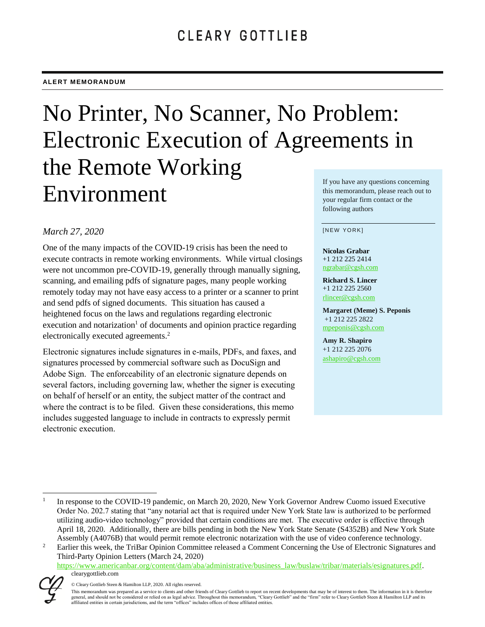# No Printer, No Scanner, No Problem: Electronic Execution of Agreements in the Remote Working Environment your regular firm contact or the

## *March 27, 2020*

One of the many impacts of the COVID-19 crisis has been the need to execute contracts in remote working environments. While virtual closings were not uncommon pre-COVID-19, generally through manually signing, scanning, and emailing pdfs of signature pages, many people working remotely today may not have easy access to a printer or a scanner to print and send pdfs of signed documents. This situation has caused a heightened focus on the laws and regulations regarding electronic execution and notarization<sup>1</sup> of documents and opinion practice regarding electronically executed agreements.<sup>2</sup>

Electronic signatures include signatures in e-mails, PDFs, and faxes, and signatures processed by commercial software such as DocuSign and Adobe Sign. The enforceability of an electronic signature depends on several factors, including governing law, whether the signer is executing on behalf of herself or an entity, the subject matter of the contract and where the contract is to be filed. Given these considerations, this memo includes suggested language to include in contracts to expressly permit electronic execution.

If you have any questions concerning this memorandum, please reach out to following authors

#### [NEW YORK]

**Nicolas Grabar** +1 212 225 2414 [ngrabar@cgsh.com](mailto:ngrabar@cgsh.com)

**Richard S. Lincer** +1 212 225 2560 [rlincer@cgsh.com](mailto:rlincer@cgsh.com)

**Margaret (Meme) S. Peponis** +1 212 225 2822 [mpeponis@cgsh.com](mailto:mpeponis@cgsh.com)

**Amy R. Shapiro** +1 212 225 2076 [ashapiro@cgsh.com](mailto:ashapiro@cgsh.com)

clearygottlieb.com [https://www.americanbar.org/content/dam/aba/administrative/business\\_law/buslaw/tribar/materials/esignatures.pdf.](https://www.americanbar.org/content/dam/aba/administrative/business_law/buslaw/tribar/materials/esignatures.pdf)



l

<sup>1</sup> In response to the COVID-19 pandemic, on March 20, 2020, New York Governor Andrew Cuomo issued Executive Order No. 202.7 stating that "any notarial act that is required under New York State law is authorized to be performed utilizing audio-video technology" provided that certain conditions are met. The executive order is effective through April 18, 2020. Additionally, there are bills pending in both the New York State Senate (S4352B) and New York State Assembly (A4076B) that would permit remote electronic notarization with the use of video conference technology.

<sup>2</sup> Earlier this week, the TriBar Opinion Committee released a Comment Concerning the Use of Electronic Signatures and Third-Party Opinion Letters (March 24, 2020)

<sup>©</sup> Cleary Gottlieb Steen & Hamilton LLP, 2020. All rights reserved.

This memorandum was prepared as a service to clients and other friends of Cleary Gottlieb to report on recent developments that may be of interest to them. The information in it is therefore general, and should not be considered or relied on as legal advice. Throughout this memorandum, "Cleary Gottlieb" and the "firm" refer to Cleary Gottlieb Steen & Hamilton LLP and its affiliated entities in certain jurisdictions, and the term "offices" includes offices of those affiliated entities.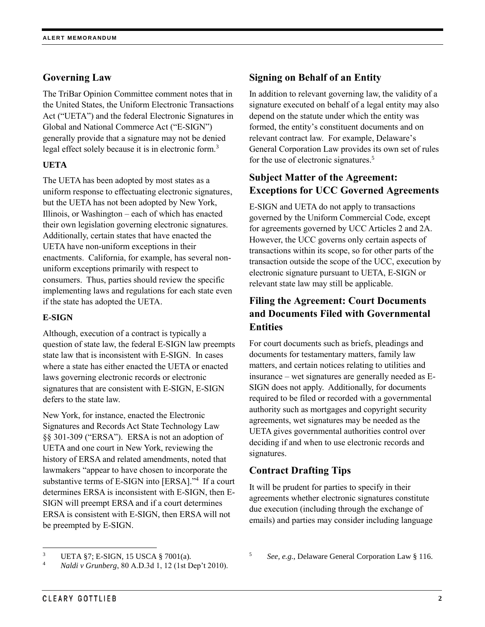## **Governing Law**

The TriBar Opinion Committee comment notes that in the United States, the Uniform Electronic Transactions Act ("UETA") and the federal Electronic Signatures in Global and National Commerce Act ("E-SIGN") generally provide that a signature may not be denied legal effect solely because it is in electronic form.<sup>3</sup>

### **UETA**

The UETA has been adopted by most states as a uniform response to effectuating electronic signatures, but the UETA has not been adopted by New York, Illinois, or Washington – each of which has enacted their own legislation governing electronic signatures. Additionally, certain states that have enacted the UETA have non-uniform exceptions in their enactments. California, for example, has several nonuniform exceptions primarily with respect to consumers. Thus, parties should review the specific implementing laws and regulations for each state even if the state has adopted the UETA.

#### **E-SIGN**

Although, execution of a contract is typically a question of state law, the federal E-SIGN law preempts state law that is inconsistent with E-SIGN. In cases where a state has either enacted the UETA or enacted laws governing electronic records or electronic signatures that are consistent with E-SIGN, E-SIGN defers to the state law.

New York, for instance, enacted the Electronic Signatures and Records Act State Technology Law §§ 301-309 ("ERSA"). ERSA is not an adoption of UETA and one court in New York, reviewing the history of ERSA and related amendments, noted that lawmakers "appear to have chosen to incorporate the substantive terms of E-SIGN into [ERSA]." 4 If a court determines ERSA is inconsistent with E-SIGN, then E-SIGN will preempt ERSA and if a court determines ERSA is consistent with E-SIGN, then ERSA will not be preempted by E-SIGN.

## **Signing on Behalf of an Entity**

In addition to relevant governing law, the validity of a signature executed on behalf of a legal entity may also depend on the statute under which the entity was formed, the entity's constituent documents and on relevant contract law. For example, Delaware's General Corporation Law provides its own set of rules for the use of electronic signatures.<sup>5</sup>

## **Subject Matter of the Agreement: Exceptions for UCC Governed Agreements**

E-SIGN and UETA do not apply to transactions governed by the Uniform Commercial Code, except for agreements governed by UCC Articles 2 and 2A. However, the UCC governs only certain aspects of transactions within its scope, so for other parts of the transaction outside the scope of the UCC, execution by electronic signature pursuant to UETA, E-SIGN or relevant state law may still be applicable.

## **Filing the Agreement: Court Documents and Documents Filed with Governmental Entities**

For court documents such as briefs, pleadings and documents for testamentary matters, family law matters, and certain notices relating to utilities and insurance – wet signatures are generally needed as E-SIGN does not apply. Additionally, for documents required to be filed or recorded with a governmental authority such as mortgages and copyright security agreements, wet signatures may be needed as the UETA gives governmental authorities control over deciding if and when to use electronic records and signatures.

### **Contract Drafting Tips**

It will be prudent for parties to specify in their agreements whether electronic signatures constitute due execution (including through the exchange of emails) and parties may consider including language

l <sup>3</sup> UETA §7; E-SIGN, 15 USCA § 7001(a).

<sup>4</sup> *Naldi v Grunberg*, 80 A.D.3d 1, 12 (1st Dep't 2010).

<sup>5</sup> *See, e.g.*, Delaware General Corporation Law § 116.